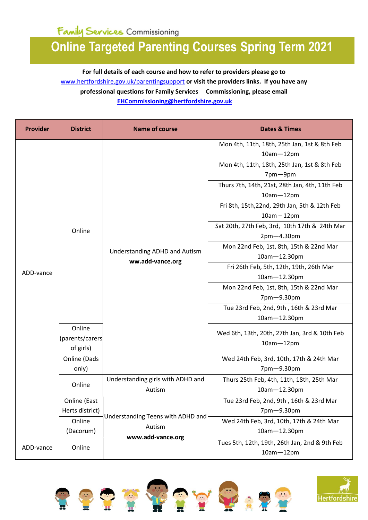## **Online Targeted Parenting Courses Spring Term 2021**

**For full details of each course and how to refer to providers please go to**  [www.hertfordshire.gov.uk/parentingsupport](https://www.hertfordshire.gov.uk/services/Schools-and-education/Childcare-and-advice-for-parents/Parents-and-family-support/Parents-and-family-support.aspx) **or visit the providers links. If you have any professional questions for Family Services Commissioning, please email [EHCommissioning@hertfordshire.gov.uk](mailto:EHCommissioning@hertfordshire.gov.uk)**

| <b>Provider</b> | <b>District</b> | <b>Name of course</b>                                    | <b>Dates &amp; Times</b>                       |
|-----------------|-----------------|----------------------------------------------------------|------------------------------------------------|
|                 |                 | <b>Understanding ADHD and Autism</b><br>ww.add-vance.org | Mon 4th, 11th, 18th, 25th Jan, 1st & 8th Feb   |
|                 |                 |                                                          | $10am - 12pm$                                  |
|                 |                 |                                                          | Mon 4th, 11th, 18th, 25th Jan, 1st & 8th Feb   |
|                 |                 |                                                          | 7pm-9pm                                        |
|                 |                 |                                                          | Thurs 7th, 14th, 21st, 28th Jan, 4th, 11th Feb |
|                 |                 |                                                          | $10am - 12pm$                                  |
|                 |                 |                                                          | Fri 8th, 15th, 22nd, 29th Jan, 5th & 12th Feb  |
|                 |                 |                                                          | $10am - 12pm$                                  |
|                 | Online          |                                                          | Sat 20th, 27th Feb, 3rd, 10th 17th & 24th Mar  |
|                 |                 |                                                          | $2pm-4.30pm$                                   |
|                 |                 |                                                          | Mon 22nd Feb, 1st, 8th, 15th & 22nd Mar        |
|                 |                 |                                                          | 10am-12.30pm                                   |
|                 |                 |                                                          | Fri 26th Feb, 5th, 12th, 19th, 26th Mar        |
| ADD-vance       |                 |                                                          | 10am-12.30pm                                   |
|                 |                 |                                                          | Mon 22nd Feb, 1st, 8th, 15th & 22nd Mar        |
|                 |                 |                                                          | 7pm-9.30pm                                     |
|                 |                 |                                                          | Tue 23rd Feb, 2nd, 9th, 16th & 23rd Mar        |
|                 |                 |                                                          | 10am-12.30pm                                   |
|                 | Online          |                                                          | Wed 6th, 13th, 20th, 27th Jan, 3rd & 10th Feb  |
|                 | (parents/carers |                                                          | $10am - 12pm$                                  |
|                 | of girls)       |                                                          |                                                |
|                 | Online (Dads    |                                                          | Wed 24th Feb, 3rd, 10th, 17th & 24th Mar       |
|                 | only)           |                                                          | 7pm-9.30pm                                     |
|                 | Online          | Understanding girls with ADHD and                        | Thurs 25th Feb, 4th, 11th, 18th, 25th Mar      |
|                 |                 | Autism                                                   | 10am-12.30pm                                   |
|                 | Online (East    | Understanding Teens with ADHD and<br>Autism              | Tue 23rd Feb, 2nd, 9th, 16th & 23rd Mar        |
|                 | Herts district) |                                                          | 7pm-9.30pm                                     |
|                 | Online          |                                                          | Wed 24th Feb, 3rd, 10th, 17th & 24th Mar       |
|                 | (Dacorum)       |                                                          | 10am-12.30pm                                   |
|                 | Online          | www.add-vance.org                                        | Tues 5th, 12th, 19th, 26th Jan, 2nd & 9th Feb  |
| ADD-vance       |                 |                                                          | $10am - 12pm$                                  |













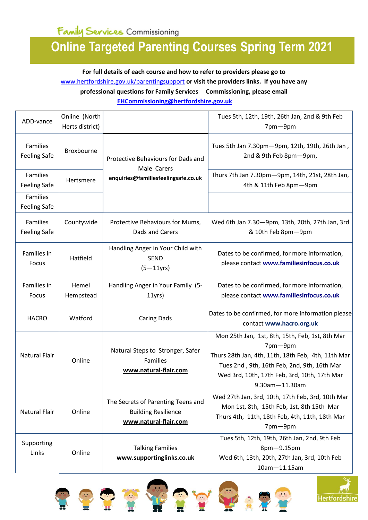## **Online Targeted Parenting Courses Spring Term 2021**

**For full details of each course and how to refer to providers please go to**  [www.hertfordshire.gov.uk/parentingsupport](https://www.hertfordshire.gov.uk/services/Schools-and-education/Childcare-and-advice-for-parents/Parents-and-family-support/Parents-and-family-support.aspx) **or visit the providers links. If you have any professional questions for Family Services Commissioning, please email [EHCommissioning@hertfordshire.gov.uk](mailto:EHCommissioning@hertfordshire.gov.uk)**

| ADD-vance                              | Online (North<br>Herts district) |                                                                                           | Tues 5th, 12th, 19th, 26th Jan, 2nd & 9th Feb<br>7pm-9pm                                                                                                                                                                                 |
|----------------------------------------|----------------------------------|-------------------------------------------------------------------------------------------|------------------------------------------------------------------------------------------------------------------------------------------------------------------------------------------------------------------------------------------|
| Families<br><b>Feeling Safe</b>        | Broxbourne                       | Protective Behaviours for Dads and<br>Male Carers                                         | Tues 5th Jan 7.30pm-9pm, 12th, 19th, 26th Jan,<br>2nd & 9th Feb 8pm-9pm,                                                                                                                                                                 |
| <b>Families</b><br><b>Feeling Safe</b> | Hertsmere                        | enquiries@familiesfeelingsafe.co.uk                                                       | Thurs 7th Jan 7.30pm-9pm, 14th, 21st, 28th Jan,<br>4th & 11th Feb 8pm-9pm                                                                                                                                                                |
| <b>Families</b><br><b>Feeling Safe</b> |                                  |                                                                                           |                                                                                                                                                                                                                                          |
| Families<br><b>Feeling Safe</b>        | Countywide                       | Protective Behaviours for Mums,<br>Dads and Carers                                        | Wed 6th Jan 7.30-9pm, 13th, 20th, 27th Jan, 3rd<br>& 10th Feb 8pm-9pm                                                                                                                                                                    |
| Families in<br>Focus                   | Hatfield                         | Handling Anger in Your Child with<br><b>SEND</b><br>$(5 - 11$ yrs)                        | Dates to be confirmed, for more information,<br>please contact www.familiesinfocus.co.uk                                                                                                                                                 |
| Families in<br>Focus                   | Hemel<br>Hempstead               | Handling Anger in Your Family (5-<br>11yrs                                                | Dates to be confirmed, for more information,<br>please contact www.familiesinfocus.co.uk                                                                                                                                                 |
| <b>HACRO</b>                           | Watford                          | <b>Caring Dads</b>                                                                        | Dates to be confirmed, for more information please<br>contact www.hacro.org.uk                                                                                                                                                           |
| <b>Natural Flair</b>                   | Online                           | Natural Steps to Stronger, Safer<br>Families<br>www.natural-flair.com                     | Mon 25th Jan, 1st, 8th, 15th, Feb, 1st, 8th Mar<br>7pm-9pm<br>Thurs 28th Jan, 4th, 11th, 18th Feb, 4th, 11th Mar<br>Tues 2nd, 9th, 16th Feb, 2nd, 9th, 16th Mar<br>Wed 3rd, 10th, 17th Feb, 3rd, 10th, 17th Mar<br>$9.30$ am $-11.30$ am |
| <b>Natural Flair</b>                   | Online                           | The Secrets of Parenting Teens and<br><b>Building Resilience</b><br>www.natural-flair.com | Wed 27th Jan, 3rd, 10th, 17th Feb, 3rd, 10th Mar<br>Mon 1st, 8th, 15th Feb, 1st, 8th 15th Mar<br>Thurs 4th, 11th, 18th Feb, 4th, 11th, 18th Mar<br>7pm-9pm                                                                               |
| Supporting<br>Links                    | Online                           | <b>Talking Families</b><br>www.supportinglinks.co.uk                                      | Tues 5th, 12th, 19th, 26th Jan, 2nd, 9th Feb<br>8pm-9.15pm<br>Wed 6th, 13th, 20th, 27th Jan, 3rd, 10th Feb<br>$10am - 11.15am$                                                                                                           |